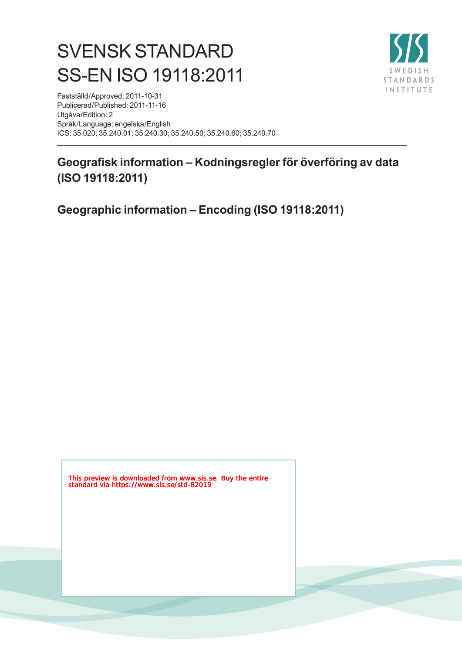# SVENSK STANDARD SS-EN ISO 19118:2011



Fastställd/Approved: 2011-10-31 Publicerad/Published: 2011-11-16 Utgåva/Edition: 2 Språk/Language: engelska/English ICS: 35.020; 35.240.01; 35.240.30; 35.240.50; 35.240.60; 35.240.70

# **Geografisk information – Kodningsregler för överföring av data (ISO 19118:2011)**

**Geographic information – Encoding (ISO 19118:2011)**

This preview is downloaded from www.sis.se. Buy the entire standard via https://www.sis.se/std-82019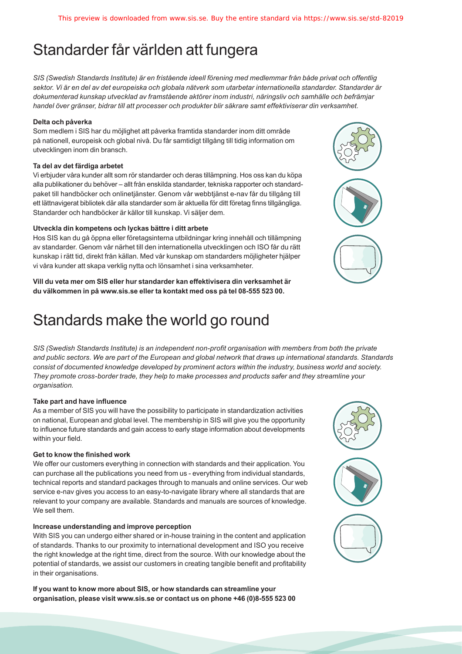# Standarder får världen att fungera

*SIS (Swedish Standards Institute) är en fristående ideell förening med medlemmar från både privat och offentlig sektor. Vi är en del av det europeiska och globala nätverk som utarbetar internationella standarder. Standarder är dokumenterad kunskap utvecklad av framstående aktörer inom industri, näringsliv och samhälle och befrämjar handel över gränser, bidrar till att processer och produkter blir säkrare samt effektiviserar din verksamhet.* 

#### **Delta och påverka**

Som medlem i SIS har du möjlighet att påverka framtida standarder inom ditt område på nationell, europeisk och global nivå. Du får samtidigt tillgång till tidig information om utvecklingen inom din bransch.

## **Ta del av det färdiga arbetet**

Vi erbjuder våra kunder allt som rör standarder och deras tillämpning. Hos oss kan du köpa alla publikationer du behöver – allt från enskilda standarder, tekniska rapporter och standardpaket till handböcker och onlinetjänster. Genom vår webbtjänst e-nav får du tillgång till ett lättnavigerat bibliotek där alla standarder som är aktuella för ditt företag finns tillgängliga. Standarder och handböcker är källor till kunskap. Vi säljer dem.

## **Utveckla din kompetens och lyckas bättre i ditt arbete**

Hos SIS kan du gå öppna eller företagsinterna utbildningar kring innehåll och tillämpning av standarder. Genom vår närhet till den internationella utvecklingen och ISO får du rätt kunskap i rätt tid, direkt från källan. Med vår kunskap om standarders möjligheter hjälper vi våra kunder att skapa verklig nytta och lönsamhet i sina verksamheter.

**Vill du veta mer om SIS eller hur standarder kan effektivisera din verksamhet är du välkommen in på www.sis.se eller ta kontakt med oss på tel 08-555 523 00.**

# Standards make the world go round

*SIS (Swedish Standards Institute) is an independent non-profit organisation with members from both the private and public sectors. We are part of the European and global network that draws up international standards. Standards consist of documented knowledge developed by prominent actors within the industry, business world and society. They promote cross-border trade, they help to make processes and products safer and they streamline your organisation.*

## **Take part and have influence**

As a member of SIS you will have the possibility to participate in standardization activities on national, European and global level. The membership in SIS will give you the opportunity to influence future standards and gain access to early stage information about developments within your field.

#### **Get to know the finished work**

We offer our customers everything in connection with standards and their application. You can purchase all the publications you need from us - everything from individual standards, technical reports and standard packages through to manuals and online services. Our web service e-nav gives you access to an easy-to-navigate library where all standards that are relevant to your company are available. Standards and manuals are sources of knowledge. We sell them.

#### **Increase understanding and improve perception**

With SIS you can undergo either shared or in-house training in the content and application of standards. Thanks to our proximity to international development and ISO you receive the right knowledge at the right time, direct from the source. With our knowledge about the potential of standards, we assist our customers in creating tangible benefit and profitability in their organisations.

**If you want to know more about SIS, or how standards can streamline your organisation, please visit www.sis.se or contact us on phone +46 (0)8-555 523 00**



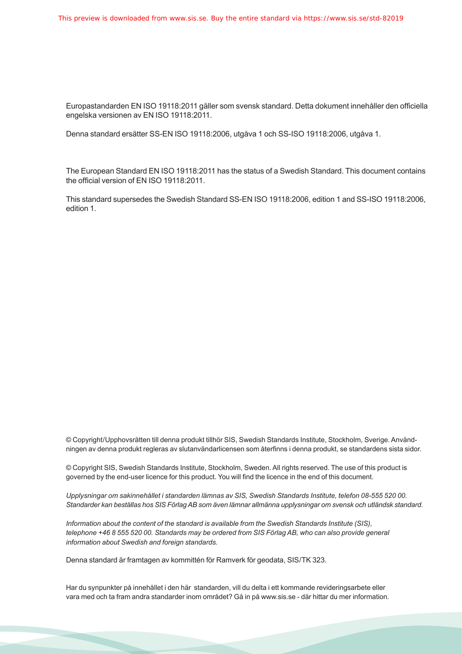Europastandarden EN ISO 19118:2011 gäller som svensk standard. Detta dokument innehåller den officiella engelska versionen av EN ISO 19118:2011.

Denna standard ersätter SS-EN ISO 19118:2006, utgåva 1 och SS-ISO 19118:2006, utgåva 1.

The European Standard EN ISO 19118:2011 has the status of a Swedish Standard. This document contains the official version of EN ISO 19118:2011.

This standard supersedes the Swedish Standard SS-EN ISO 19118:2006, edition 1 and SS-ISO 19118:2006, edition 1.

© Copyright/Upphovsrätten till denna produkt tillhör SIS, Swedish Standards Institute, Stockholm, Sverige. Användningen av denna produkt regleras av slutanvändarlicensen som återfinns i denna produkt, se standardens sista sidor.

© Copyright SIS, Swedish Standards Institute, Stockholm, Sweden. All rights reserved. The use of this product is governed by the end-user licence for this product. You will find the licence in the end of this document.

*Upplysningar om sakinnehållet i standarden lämnas av SIS, Swedish Standards Institute, telefon 08-555 520 00. Standarder kan beställas hos SIS Förlag AB som även lämnar allmänna upplysningar om svensk och utländsk standard.*

*Information about the content of the standard is available from the Swedish Standards Institute (SIS), telephone +46 8 555 520 00. Standards may be ordered from SIS Förlag AB, who can also provide general information about Swedish and foreign standards.*

Denna standard är framtagen av kommittén för Ramverk för geodata, SIS/TK 323.

Har du synpunkter på innehållet i den här standarden, vill du delta i ett kommande revideringsarbete eller vara med och ta fram andra standarder inom området? Gå in på www.sis.se - där hittar du mer information.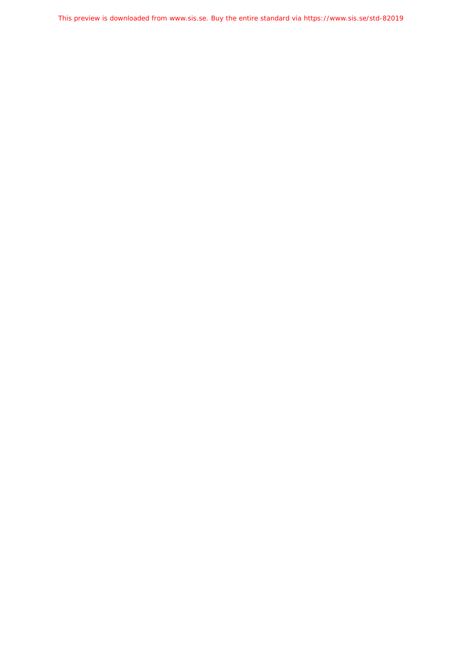This preview is downloaded from www.sis.se. Buy the entire standard via https://www.sis.se/std-82019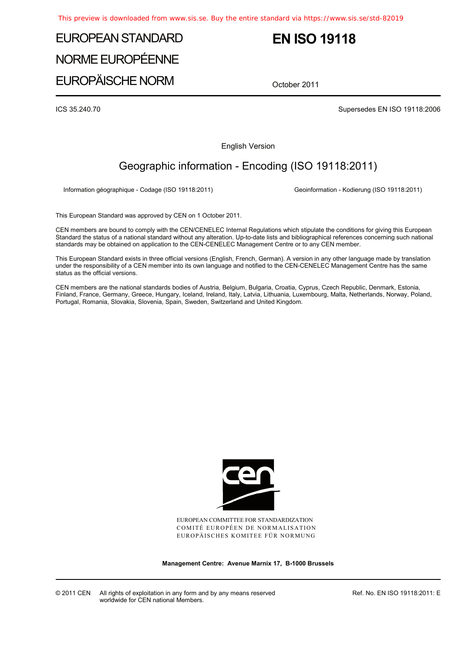# EUROPEAN STANDARD NORME EUROPÉENNE EUROPÄISCHE NORM

# **EN ISO 19118**

October 2011

ICS 35.240.70 Supersedes EN ISO 19118:2006

English Version

# Geographic information - Encoding (ISO 19118:2011)

Information géographique - Codage (ISO 19118:2011) Geoinformation - Kodierung (ISO 19118:2011)

This European Standard was approved by CEN on 1 October 2011.

CEN members are bound to comply with the CEN/CENELEC Internal Regulations which stipulate the conditions for giving this European Standard the status of a national standard without any alteration. Up-to-date lists and bibliographical references concerning such national standards may be obtained on application to the CEN-CENELEC Management Centre or to any CEN member.

This European Standard exists in three official versions (English, French, German). A version in any other language made by translation under the responsibility of a CEN member into its own language and notified to the CEN-CENELEC Management Centre has the same status as the official versions.

CEN members are the national standards bodies of Austria, Belgium, Bulgaria, Croatia, Cyprus, Czech Republic, Denmark, Estonia, Finland, France, Germany, Greece, Hungary, Iceland, Ireland, Italy, Latvia, Lithuania, Luxembourg, Malta, Netherlands, Norway, Poland, Portugal, Romania, Slovakia, Slovenia, Spain, Sweden, Switzerland and United Kingdom.



EUROPEAN COMMITTEE FOR STANDARDIZATION COMITÉ EUROPÉEN DE NORMALISATION EUROPÄISCHES KOMITEE FÜR NORMUNG

**Management Centre: Avenue Marnix 17, B-1000 Brussels**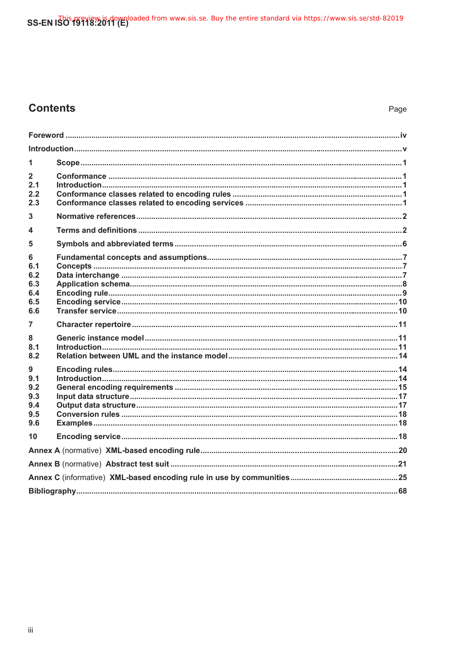SS-EN ISO 19118:2011 (E) SS-EN ISO 19118:2019

# **Contents**

| 1                                           |  |  |
|---------------------------------------------|--|--|
| $\mathbf{2}$<br>2.1<br>2.2<br>2.3           |  |  |
| 3                                           |  |  |
| 4                                           |  |  |
| 5                                           |  |  |
| 6<br>6.1<br>6.2<br>6.3<br>6.4<br>6.5<br>6,6 |  |  |
| $\overline{7}$                              |  |  |
| 8<br>8.1<br>8.2                             |  |  |
| 9<br>9.1<br>9.2<br>9.3<br>9.4<br>9.5<br>9.6 |  |  |
| 10                                          |  |  |
|                                             |  |  |
|                                             |  |  |
|                                             |  |  |
|                                             |  |  |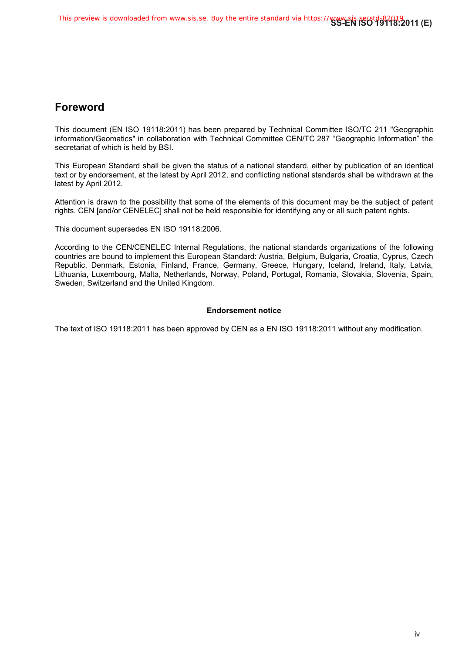# **Foreword**

This document (EN ISO 19118:2011) has been prepared by Technical Committee ISO/TC 211 "Geographic information/Geomatics" in collaboration with Technical Committee CEN/TC 287 "Geographic Information" the secretariat of which is held by BSI.

This European Standard shall be given the status of a national standard, either by publication of an identical text or by endorsement, at the latest by April 2012, and conflicting national standards shall be withdrawn at the latest by April 2012.

Attention is drawn to the possibility that some of the elements of this document may be the subject of patent rights. CEN [and/or CENELEC] shall not be held responsible for identifying any or all such patent rights.

This document supersedes EN ISO 19118:2006.

According to the CEN/CENELEC Internal Regulations, the national standards organizations of the following countries are bound to implement this European Standard: Austria, Belgium, Bulgaria, Croatia, Cyprus, Czech Republic, Denmark, Estonia, Finland, France, Germany, Greece, Hungary, Iceland, Ireland, Italy, Latvia, Lithuania, Luxembourg, Malta, Netherlands, Norway, Poland, Portugal, Romania, Slovakia, Slovenia, Spain, Sweden, Switzerland and the United Kingdom.

# **Endorsement notice**

The text of ISO 19118:2011 has been approved by CEN as a EN ISO 19118:2011 without any modification.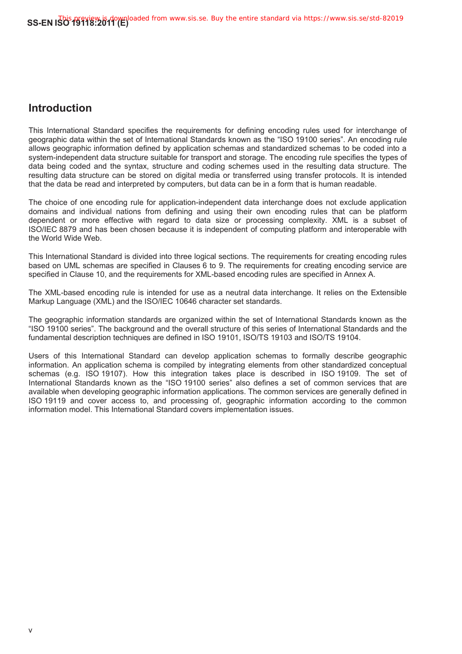# **Introduction**

This International Standard specifies the requirements for defining encoding rules used for interchange of geographic data within the set of International Standards known as the "ISO 19100 series". An encoding rule allows geographic information defined by application schemas and standardized schemas to be coded into a system-independent data structure suitable for transport and storage. The encoding rule specifies the types of data being coded and the syntax, structure and coding schemes used in the resulting data structure. The resulting data structure can be stored on digital media or transferred using transfer protocols. It is intended that the data be read and interpreted by computers, but data can be in a form that is human readable.

The choice of one encoding rule for application-independent data interchange does not exclude application domains and individual nations from defining and using their own encoding rules that can be platform dependent or more effective with regard to data size or processing complexity. XML is a subset of ISO/IEC 8879 and has been chosen because it is independent of computing platform and interoperable with the World Wide Web.

This International Standard is divided into three logical sections. The requirements for creating encoding rules based on UML schemas are specified in Clauses 6 to 9. The requirements for creating encoding service are specified in Clause 10, and the requirements for XML-based encoding rules are specified in Annex A.

The XML-based encoding rule is intended for use as a neutral data interchange. It relies on the Extensible Markup Language (XML) and the ISO/IEC 10646 character set standards.

The geographic information standards are organized within the set of International Standards known as the "ISO 19100 series". The background and the overall structure of this series of International Standards and the fundamental description techniques are defined in ISO 19101, ISO/TS 19103 and ISO/TS 19104.

Users of this International Standard can develop application schemas to formally describe geographic information. An application schema is compiled by integrating elements from other standardized conceptual schemas (e.g. ISO 19107). How this integration takes place is described in ISO 19109. The set of International Standards known as the "ISO 19100 series" also defines a set of common services that are available when developing geographic information applications. The common services are generally defined in ISO 19119 and cover access to, and processing of, geographic information according to the common information model. This International Standard covers implementation issues.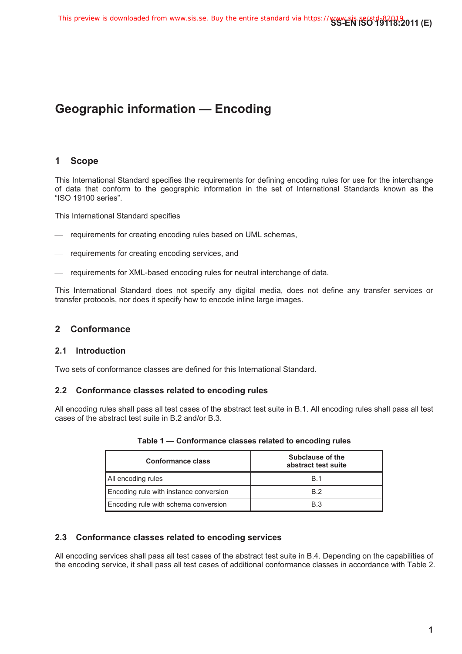# **Geographic information — Encoding**

# **1 Scope**

This International Standard specifies the requirements for defining encoding rules for use for the interchange of data that conform to the geographic information in the set of International Standards known as the "ISO 19100 series".

This International Standard specifies

- requirements for creating encoding rules based on UML schemas,
- requirements for creating encoding services, and
- requirements for XML-based encoding rules for neutral interchange of data.

This International Standard does not specify any digital media, does not define any transfer services or transfer protocols, nor does it specify how to encode inline large images.

# **2 Conformance**

# **2.1 Introduction**

Two sets of conformance classes are defined for this International Standard.

# **2.2 Conformance classes related to encoding rules**

All encoding rules shall pass all test cases of the abstract test suite in B.1. All encoding rules shall pass all test cases of the abstract test suite in B.2 and/or B.3.

| Conformance class                      | <b>Subclause of the</b><br>abstract test suite |
|----------------------------------------|------------------------------------------------|
| All encoding rules                     | <b>B</b> 1                                     |
| Encoding rule with instance conversion | R <sub>2</sub>                                 |
| Encoding rule with schema conversion   | B 3                                            |

**Table 1 — Conformance classes related to encoding rules** 

# **2.3 Conformance classes related to encoding services**

All encoding services shall pass all test cases of the abstract test suite in B.4. Depending on the capabilities of the encoding service, it shall pass all test cases of additional conformance classes in accordance with Table 2.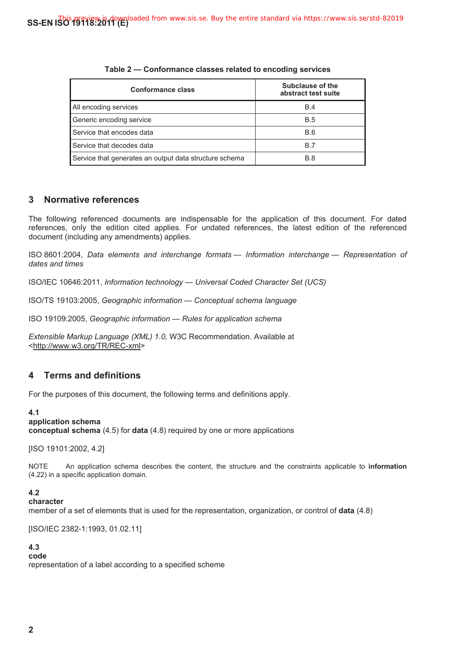| <b>Conformance class</b>                               | Subclause of the<br>abstract test suite |
|--------------------------------------------------------|-----------------------------------------|
| All encoding services                                  | B.4                                     |
| Generic encoding service                               | <b>B.5</b>                              |
| Service that encodes data                              | B.6                                     |
| Service that decodes data                              | <b>B.7</b>                              |
| Service that generates an output data structure schema | <b>B.8</b>                              |

**Table 2 — Conformance classes related to encoding services** 

# **3 Normative references**

The following referenced documents are indispensable for the application of this document. For dated references, only the edition cited applies. For undated references, the latest edition of the referenced document (including any amendments) applies.

ISO 8601:2004, *Data elements and interchange formats — Information interchange — Representation of dates and times*

ISO/IEC 10646:2011, *Information technology — Universal Coded Character Set (UCS)*

ISO/TS 19103:2005, *Geographic information — Conceptual schema language*

ISO 19109:2005, *Geographic information — Rules for application schema*

*Extensible Markup Language (XML) 1.0,* W3C Recommendation. Available at <http://www.w3.org/TR/REC-xml>

# **4 Terms and definitions**

For the purposes of this document, the following terms and definitions apply.

## **4.1**

# **application schema**

**conceptual schema** (4.5) for **data** (4.8) required by one or more applications

[ISO 19101:2002, 4.2]

NOTE An application schema describes the content, the structure and the constraints applicable to **information** (4.22) in a specific application domain.

# **4.2**

# **character**

member of a set of elements that is used for the representation, organization, or control of **data** (4.8)

[ISO/IEC 2382-1:1993, 01.02.11]

#### **4.3 code**

representation of a label according to a specified scheme